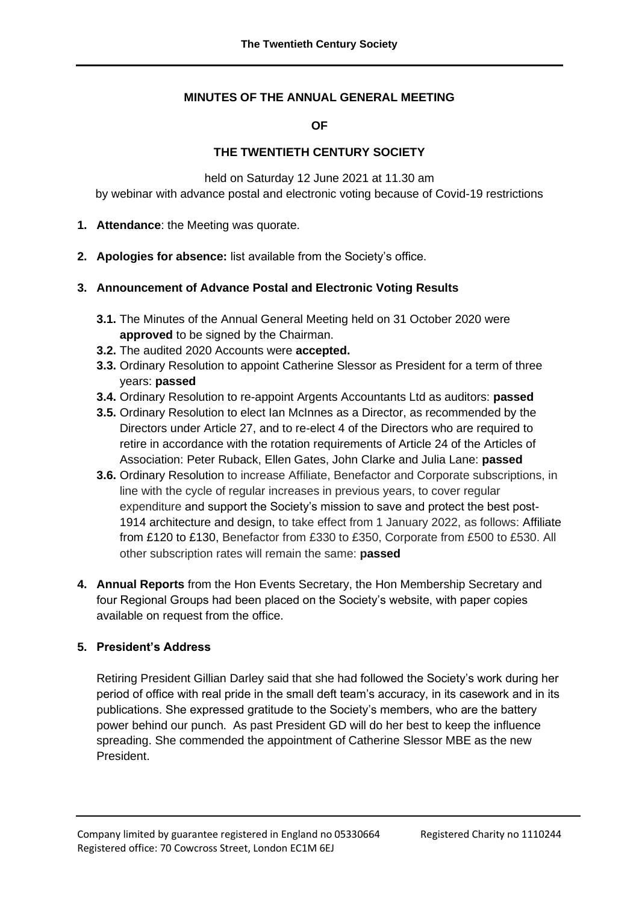### **MINUTES OF THE ANNUAL GENERAL MEETING**

**OF**

#### **THE TWENTIETH CENTURY SOCIETY**

held on Saturday 12 June 2021 at 11.30 am by webinar with advance postal and electronic voting because of Covid-19 restrictions

- **1. Attendance**: the Meeting was quorate.
- **2. Apologies for absence:** list available from the Society's office.

#### **3. Announcement of Advance Postal and Electronic Voting Results**

- **3.1.** The Minutes of the Annual General Meeting held on 31 October 2020 were **approved** to be signed by the Chairman.
- **3.2.** The audited 2020 Accounts were **accepted.**
- **3.3.** Ordinary Resolution to appoint Catherine Slessor as President for a term of three years: **passed**
- **3.4.** Ordinary Resolution to re-appoint Argents Accountants Ltd as auditors: **passed**
- **3.5.** Ordinary Resolution to elect Ian McInnes as a Director, as recommended by the Directors under Article 27, and to re-elect 4 of the Directors who are required to retire in accordance with the rotation requirements of Article 24 of the Articles of Association: Peter Ruback, Ellen Gates, John Clarke and Julia Lane: **passed**
- **3.6.** Ordinary Resolution to increase Affiliate, Benefactor and Corporate subscriptions, in line with the cycle of regular increases in previous years, to cover regular expenditure and support the Society's mission to save and protect the best post-1914 architecture and design, to take effect from 1 January 2022, as follows: Affiliate from £120 to £130, Benefactor from £330 to £350, Corporate from £500 to £530. All other subscription rates will remain the same: **passed**
- **4. Annual Reports** from the Hon Events Secretary, the Hon Membership Secretary and four Regional Groups had been placed on the Society's website, with paper copies available on request from the office.

## **5. President's Address**

Retiring President Gillian Darley said that she had followed the Society's work during her period of office with real pride in the small deft team's accuracy, in its casework and in its publications. She expressed gratitude to the Society's members, who are the battery power behind our punch. As past President GD will do her best to keep the influence spreading. She commended the appointment of Catherine Slessor MBE as the new President.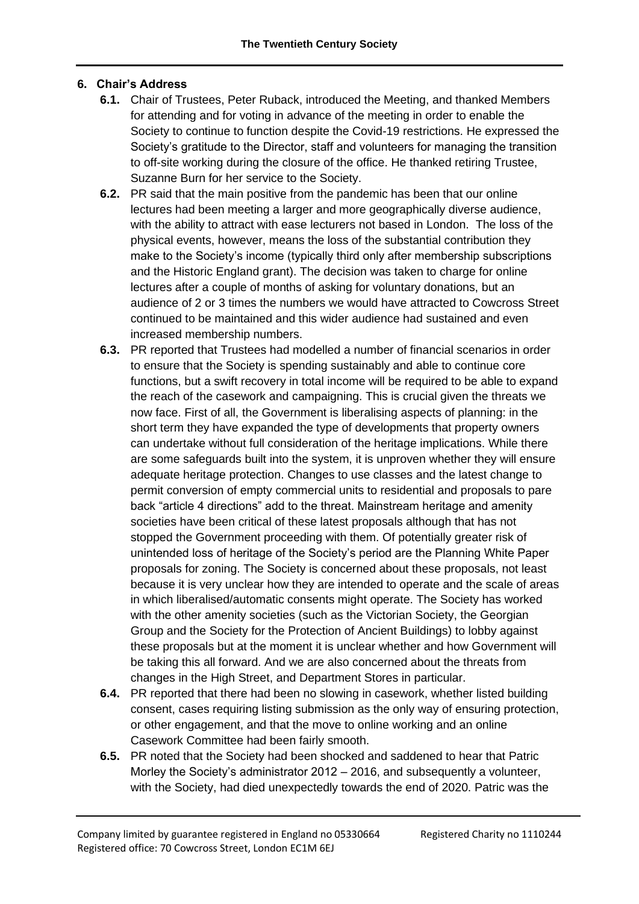# **6. Chair's Address**

- **6.1.** Chair of Trustees, Peter Ruback, introduced the Meeting, and thanked Members for attending and for voting in advance of the meeting in order to enable the Society to continue to function despite the Covid-19 restrictions. He expressed the Society's gratitude to the Director, staff and volunteers for managing the transition to off-site working during the closure of the office. He thanked retiring Trustee, Suzanne Burn for her service to the Society.
- **6.2.** PR said that the main positive from the pandemic has been that our online lectures had been meeting a larger and more geographically diverse audience, with the ability to attract with ease lecturers not based in London. The loss of the physical events, however, means the loss of the substantial contribution they make to the Society's income (typically third only after membership subscriptions and the Historic England grant). The decision was taken to charge for online lectures after a couple of months of asking for voluntary donations, but an audience of 2 or 3 times the numbers we would have attracted to Cowcross Street continued to be maintained and this wider audience had sustained and even increased membership numbers.
- **6.3.** PR reported that Trustees had modelled a number of financial scenarios in order to ensure that the Society is spending sustainably and able to continue core functions, but a swift recovery in total income will be required to be able to expand the reach of the casework and campaigning. This is crucial given the threats we now face. First of all, the Government is liberalising aspects of planning: in the short term they have expanded the type of developments that property owners can undertake without full consideration of the heritage implications. While there are some safeguards built into the system, it is unproven whether they will ensure adequate heritage protection. Changes to use classes and the latest change to permit conversion of empty commercial units to residential and proposals to pare back "article 4 directions" add to the threat. Mainstream heritage and amenity societies have been critical of these latest proposals although that has not stopped the Government proceeding with them. Of potentially greater risk of unintended loss of heritage of the Society's period are the Planning White Paper proposals for zoning. The Society is concerned about these proposals, not least because it is very unclear how they are intended to operate and the scale of areas in which liberalised/automatic consents might operate. The Society has worked with the other amenity societies (such as the Victorian Society, the Georgian Group and the Society for the Protection of Ancient Buildings) to lobby against these proposals but at the moment it is unclear whether and how Government will be taking this all forward. And we are also concerned about the threats from changes in the High Street, and Department Stores in particular.
- **6.4.** PR reported that there had been no slowing in casework, whether listed building consent, cases requiring listing submission as the only way of ensuring protection, or other engagement, and that the move to online working and an online Casework Committee had been fairly smooth.
- **6.5.** PR noted that the Society had been shocked and saddened to hear that Patric Morley the Society's administrator 2012 – 2016, and subsequently a volunteer, with the Society, had died unexpectedly towards the end of 2020. Patric was the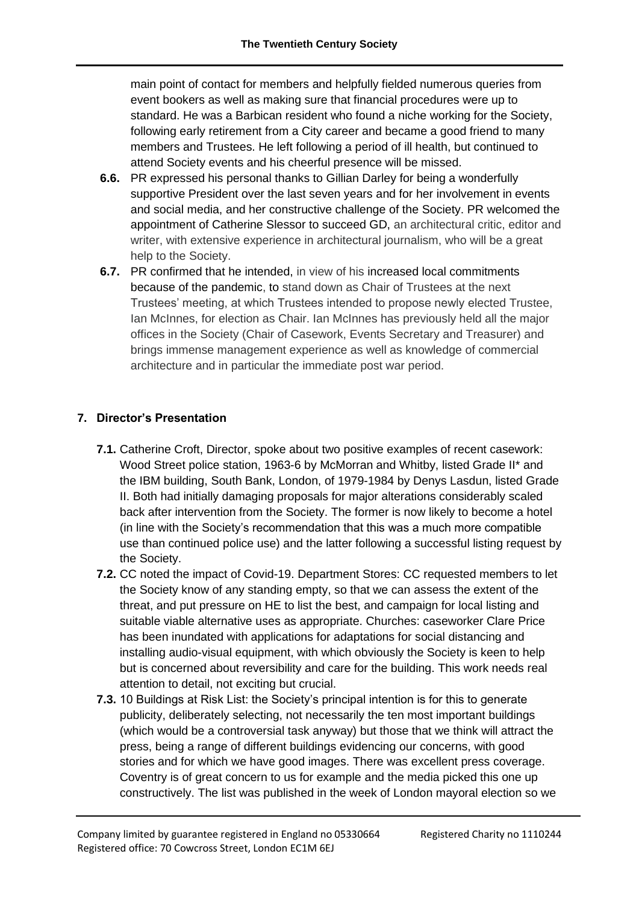main point of contact for members and helpfully fielded numerous queries from event bookers as well as making sure that financial procedures were up to standard. He was a Barbican resident who found a niche working for the Society, following early retirement from a City career and became a good friend to many members and Trustees. He left following a period of ill health, but continued to attend Society events and his cheerful presence will be missed.

- **6.6.** PR expressed his personal thanks to Gillian Darley for being a wonderfully supportive President over the last seven years and for her involvement in events and social media, and her constructive challenge of the Society. PR welcomed the appointment of Catherine Slessor to succeed GD, an architectural critic, editor and writer, with extensive experience in architectural journalism, who will be a great help to the Society.
- **6.7.** PR confirmed that he intended, in view of his increased local commitments because of the pandemic, to stand down as Chair of Trustees at the next Trustees' meeting, at which Trustees intended to propose newly elected Trustee, Ian McInnes, for election as Chair. Ian McInnes has previously held all the major offices in the Society (Chair of Casework, Events Secretary and Treasurer) and brings immense management experience as well as knowledge of commercial architecture and in particular the immediate post war period.

# **7. Director's Presentation**

- **7.1.** Catherine Croft, Director, spoke about two positive examples of recent casework: Wood Street police station, 1963-6 by McMorran and Whitby, listed Grade II\* and the IBM building, South Bank, London, of 1979-1984 by Denys Lasdun, listed Grade II. Both had initially damaging proposals for major alterations considerably scaled back after intervention from the Society. The former is now likely to become a hotel (in line with the Society's recommendation that this was a much more compatible use than continued police use) and the latter following a successful listing request by the Society.
- **7.2.** CC noted the impact of Covid-19. Department Stores: CC requested members to let the Society know of any standing empty, so that we can assess the extent of the threat, and put pressure on HE to list the best, and campaign for local listing and suitable viable alternative uses as appropriate. Churches: caseworker Clare Price has been inundated with applications for adaptations for social distancing and installing audio-visual equipment, with which obviously the Society is keen to help but is concerned about reversibility and care for the building. This work needs real attention to detail, not exciting but crucial.
- **7.3.** 10 Buildings at Risk List: the Society's principal intention is for this to generate publicity, deliberately selecting, not necessarily the ten most important buildings (which would be a controversial task anyway) but those that we think will attract the press, being a range of different buildings evidencing our concerns, with good stories and for which we have good images. There was excellent press coverage. Coventry is of great concern to us for example and the media picked this one up constructively. The list was published in the week of London mayoral election so we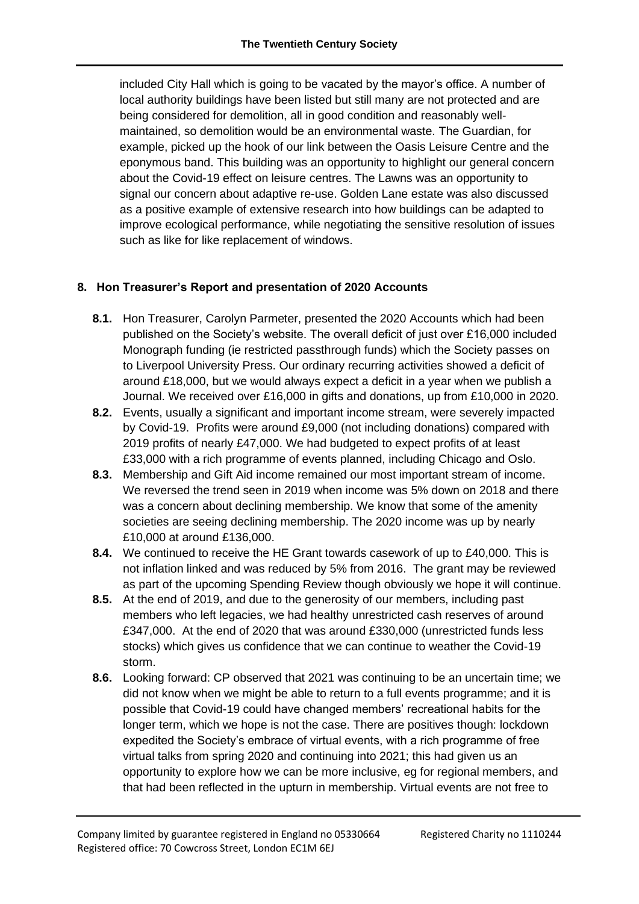included City Hall which is going to be vacated by the mayor's office. A number of local authority buildings have been listed but still many are not protected and are being considered for demolition, all in good condition and reasonably wellmaintained, so demolition would be an environmental waste. The Guardian, for example, picked up the hook of our link between the Oasis Leisure Centre and the eponymous band. This building was an opportunity to highlight our general concern about the Covid-19 effect on leisure centres. The Lawns was an opportunity to signal our concern about adaptive re-use. Golden Lane estate was also discussed as a positive example of extensive research into how buildings can be adapted to improve ecological performance, while negotiating the sensitive resolution of issues such as like for like replacement of windows.

# **8. Hon Treasurer's Report and presentation of 2020 Accounts**

- **8.1.** Hon Treasurer, Carolyn Parmeter, presented the 2020 Accounts which had been published on the Society's website. The overall deficit of just over £16,000 included Monograph funding (ie restricted passthrough funds) which the Society passes on to Liverpool University Press. Our ordinary recurring activities showed a deficit of around £18,000, but we would always expect a deficit in a year when we publish a Journal. We received over £16,000 in gifts and donations, up from £10,000 in 2020.
- **8.2.** Events, usually a significant and important income stream, were severely impacted by Covid-19. Profits were around £9,000 (not including donations) compared with 2019 profits of nearly £47,000. We had budgeted to expect profits of at least £33,000 with a rich programme of events planned, including Chicago and Oslo.
- **8.3.** Membership and Gift Aid income remained our most important stream of income. We reversed the trend seen in 2019 when income was 5% down on 2018 and there was a concern about declining membership. We know that some of the amenity societies are seeing declining membership. The 2020 income was up by nearly £10,000 at around £136,000.
- **8.4.** We continued to receive the HE Grant towards casework of up to £40,000. This is not inflation linked and was reduced by 5% from 2016. The grant may be reviewed as part of the upcoming Spending Review though obviously we hope it will continue.
- **8.5.** At the end of 2019, and due to the generosity of our members, including past members who left legacies, we had healthy unrestricted cash reserves of around £347,000. At the end of 2020 that was around £330,000 (unrestricted funds less stocks) which gives us confidence that we can continue to weather the Covid-19 storm.
- **8.6.** Looking forward: CP observed that 2021 was continuing to be an uncertain time; we did not know when we might be able to return to a full events programme; and it is possible that Covid-19 could have changed members' recreational habits for the longer term, which we hope is not the case. There are positives though: lockdown expedited the Society's embrace of virtual events, with a rich programme of free virtual talks from spring 2020 and continuing into 2021; this had given us an opportunity to explore how we can be more inclusive, eg for regional members, and that had been reflected in the upturn in membership. Virtual events are not free to